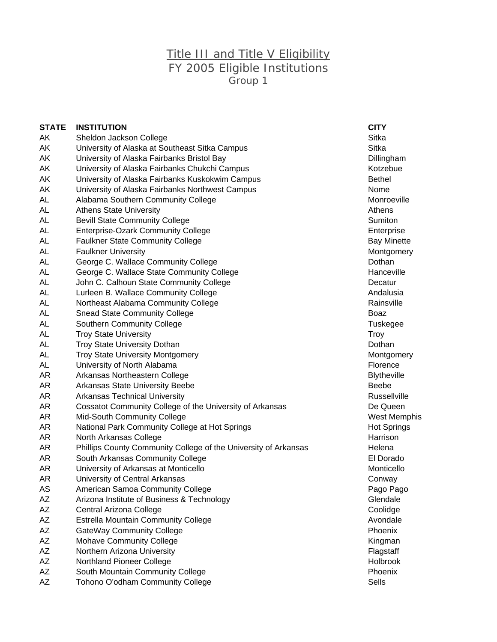## Title III and Title V Eligibility FY 2005 Eligible Institutions Group 1

| <b>STATE</b> | <b>INSTITUTION</b>                                              | <b>CITY</b>        |
|--------------|-----------------------------------------------------------------|--------------------|
| AΚ           | Sheldon Jackson College                                         | Sitka              |
| AK           | University of Alaska at Southeast Sitka Campus                  | <b>Sitka</b>       |
| AK           | University of Alaska Fairbanks Bristol Bay                      | Dillingham         |
| AΚ           | University of Alaska Fairbanks Chukchi Campus                   | Kotzebue           |
| AK           | University of Alaska Fairbanks Kuskokwim Campus                 | <b>Bethel</b>      |
| AK           | University of Alaska Fairbanks Northwest Campus                 | Nome               |
| AL           | Alabama Southern Community College                              | Monroeville        |
| AL           | <b>Athens State University</b>                                  | Athens             |
| AL           | <b>Bevill State Community College</b>                           | <b>Sumiton</b>     |
| AL           | <b>Enterprise-Ozark Community College</b>                       | Enterprise         |
| AL           | <b>Faulkner State Community College</b>                         | <b>Bay Minette</b> |
| AL           | <b>Faulkner University</b>                                      | Montgomer          |
| AL           | George C. Wallace Community College                             | Dothan             |
| AL           | George C. Wallace State Community College                       | Hanceville         |
| AL           | John C. Calhoun State Community College                         | Decatur            |
| <b>AL</b>    | Lurleen B. Wallace Community College                            | Andalusia          |
| AL           | Northeast Alabama Community College                             | Rainsville         |
| AL           | <b>Snead State Community College</b>                            | Boaz               |
| AL           | <b>Southern Community College</b>                               | Tuskegee           |
| AL           | <b>Troy State University</b>                                    | Troy               |
| AL           | <b>Troy State University Dothan</b>                             | Dothan             |
| AL           | <b>Troy State University Montgomery</b>                         | Montgomer          |
| AL           | University of North Alabama                                     | Florence           |
| AR           | Arkansas Northeastern College                                   | <b>Blytheville</b> |
| AR           | Arkansas State University Beebe                                 | <b>Beebe</b>       |
| AR           | <b>Arkansas Technical University</b>                            | Russellville       |
| AR           | Cossatot Community College of the University of Arkansas        | De Queen           |
| AR           | Mid-South Community College                                     | West Mem           |
| AR           | National Park Community College at Hot Springs                  | Hot Spring         |
| AR           | North Arkansas College                                          | Harrison           |
| AR           | Phillips County Community College of the University of Arkansas | Helena             |
| AR           | South Arkansas Community College                                | El Dorado          |
| AR           | University of Arkansas at Monticello                            | Monticello         |
| AR           | University of Central Arkansas                                  | Conway             |
| AS           | American Samoa Community College                                | Pago Pago          |
| ΑZ           | Arizona Institute of Business & Technology                      | Glendale           |
| AZ           | Central Arizona College                                         | Coolidge           |
| AZ           | <b>Estrella Mountain Community College</b>                      | Avondale           |
| AZ           | <b>GateWay Community College</b>                                | Phoenix            |
| AZ           | <b>Mohave Community College</b>                                 | Kingman            |
| AZ           | Northern Arizona University                                     | Flagstaff          |
| AZ           | Northland Pioneer College                                       | Holbrook           |
| AΖ           | South Mountain Community College                                | Phoenix            |
| AΖ           | Tohono O'odham Community College                                | Sells              |

Dillingham Monroeville Bay Minette Montgomery **Tuskegee** Montgomery **Blytheville Russellville West Memphis** Hot Springs Pago Pago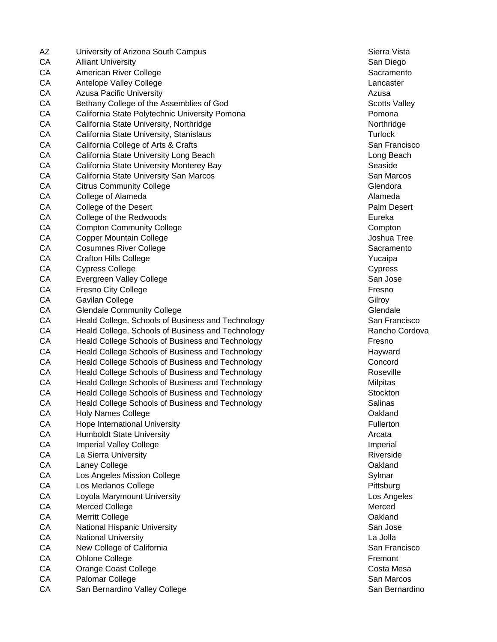AZ University of Arizona South Campus South State State State Sierra Vista CA Alliant University San Diego and San Diego and San Diego and San Diego and San Diego and San Diego and San Diego CA American River College Sacramento CA American River College Sacramento CA Antelope Valley College Lancaster Lancaster CA Azusa Pacific University Azusa CA Bethany College of the Assemblies of God Scotts Valley CA California State Polytechnic University Pomona **Pomona** Pomona CA California State University, Northridge Northridge Northridge CA California State University, Stanislaus Turlock CA California State University, Stanislaus CA California College of Arts & Crafts San Francisco San Francisco CA California State University Long Beach Long Beach CA California State University Monterey Bay Seaside Seaside CA California State University San Marcos San Marcos San Marcos San Marcos CA Citrus Community College Glendora Community College Glendora Community College Glendora CA College of Alameda **Alameda** Alameda Alameda Alameda Alameda Alameda Alameda Alameda Alameda Alameda Alameda Alameda Alameda Alameda Alameda Alameda Alameda Alameda Alameda Alameda Alameda Alameda Alameda Alameda Alamed CA College of the Desert **Palm Desert CA** College of the Desert CA College of the Redwoods **Eureka** Eureka CA Compton Community College Compton Compton Compton CA Copper Mountain College CA Copper Mountain College CA Copyright College CA Copyright College CA Copyright College CA Cosumnes River College Sacramento CA Cosumento Sacramento CA Crafton Hills College Yucaipa CA Cypress College Communication of the Cypress College Cypress College Cypress College Cypress College Cypress CA Evergreen Valley College San Jose San Jose San Jose San Jose San Jose San Jose San Jose San Jose San Jose San Jose San Jose San Jose San Jose San Jose San Jose San Jose San Jose San Jose San Jose San Jose San Jose San J CA Fresno City College **Fresno** Fresno **Fresno** CA Gavilan College Gilroy Care Gilroy Care Gilroy Care Gilroy Care Gilroy Care Gilroy Care Gilroy Care Gilroy CA Glendale Community College Glendale Glendale Glendale CA Heald College, Schools of Business and Technology San Francisco CA Heald College, Schools of Business and Technology **Rancho Cordova** Rancho Cordova CA Heald College Schools of Business and Technology Fresno CA Heald College Schools of Business and Technology **Hayward** Hayward CA Heald College Schools of Business and Technology Concord Concord CA Heald College Schools of Business and Technology CA Roseville CA Heald College Schools of Business and Technology CA Heald College Schools of Business and Technology CA Heald College Schools of Business and Technology Stockton Stockton CA Heald College Schools of Business and Technology Salinas Salinas CA Holy Names College **Oakland CA CA** Holy Names College CA Hope International University **Fullerton Fullerton** CA Humboldt State University **Arcata** Arcata Arcata Arcata Arcata Arcata Arcata Arcata Arcata Arcata Arcata Arcata CA Imperial Valley College Imperial CA Imperial Valley College Imperial Imperial Imperial CA La Sierra University **Riverside** Riverside Riverside Riverside CA Laney College **CA** Laney College **CA** Laney College **CA** Laney College **CA** Laney College CA Los Angeles Mission College Sylmar Sylmar Sylmar CA Los Medanos College **Pittsburg** Pittsburg Pittsburg Pittsburg Pittsburg Pittsburg Pittsburg Pittsburg Pittsburg Pittsburg Pittsburg Pittsburg Pittsburg Pittsburg Pittsburg Pittsburg Pittsburg Pittsburg Pittsburg Pittsbu CA Loyola Marymount University Los Angeles CA Merced College Merced College Merced American Structure of the Merced Merced Merced Merced CA Merritt College Oakland CA National Hispanic University **San Jose** San Jose CA National University La Jolla CA New College of California San Francisco CA New York College of California San Francisco CA Ohlone College **Fremont** CA Ohlone College **Fremont** CA Ohlone College **Fremont** CA Orange Coast College Communication Costa Mesa CA Palomar College San Marcos College San Marcos San Marcos San Marcos San Marcos CA San Bernardino Valley College San Bernardino San Bernardino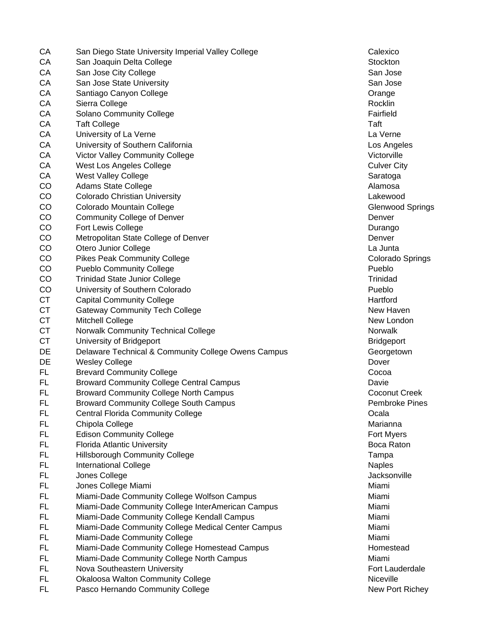| CA        | San Diego State University Imperial Valley College  | Calexico                |
|-----------|-----------------------------------------------------|-------------------------|
| CA        | San Joaquin Delta College                           | Stockton                |
| CA        | San Jose City College                               | San Jose                |
| CA        | San Jose State University                           | San Jose                |
| CA        | Santiago Canyon College                             | Orange                  |
| CA        | Sierra College                                      | Rocklin                 |
| CA        | <b>Solano Community College</b>                     | Fairfield               |
| CA        | <b>Taft College</b>                                 | Taft                    |
| CA        | University of La Verne                              | La Verne                |
| CA        | University of Southern California                   | Los Angeles             |
| CA        | Victor Valley Community College                     | Victorville             |
| CA        | West Los Angeles College                            | <b>Culver City</b>      |
| CA        | <b>West Valley College</b>                          | Saratoga                |
| CO        | <b>Adams State College</b>                          | Alamosa                 |
| CO        | <b>Colorado Christian University</b>                | Lakewood                |
| CO        | Colorado Mountain College                           | <b>Glenwood Spring</b>  |
| CO        | <b>Community College of Denver</b>                  | Denver                  |
| CO        | Fort Lewis College                                  | Durango                 |
| CO        | Metropolitan State College of Denver                | Denver                  |
| CO        | Otero Junior College                                | La Junta                |
| CO        | <b>Pikes Peak Community College</b>                 | <b>Colorado Springs</b> |
| CO        | <b>Pueblo Community College</b>                     | Pueblo                  |
| CO        | <b>Trinidad State Junior College</b>                | Trinidad                |
| CO        | University of Southern Colorado                     | Pueblo                  |
| <b>CT</b> |                                                     | Hartford                |
| <b>CT</b> | <b>Capital Community College</b>                    | New Haven               |
|           | <b>Gateway Community Tech College</b>               |                         |
| <b>CT</b> | Mitchell College                                    | New London<br>Norwalk   |
| <b>CT</b> | <b>Norwalk Community Technical College</b>          |                         |
| <b>CT</b> | University of Bridgeport                            | <b>Bridgeport</b>       |
| DE        | Delaware Technical & Community College Owens Campus | Georgetown              |
| DE        | <b>Wesley College</b>                               | Dover                   |
| <b>FL</b> | <b>Brevard Community College</b>                    | Cocoa                   |
| <b>FL</b> | <b>Broward Community College Central Campus</b>     | Davie                   |
| FL        | <b>Broward Community College North Campus</b>       | Coconut Creek           |
| FL        | <b>Broward Community College South Campus</b>       | <b>Pembroke Pines</b>   |
| FL        | <b>Central Florida Community College</b>            | Ocala                   |
| FL        | Chipola College                                     | Marianna                |
| <b>FL</b> | <b>Edison Community College</b>                     | Fort Myers              |
| FL        | <b>Florida Atlantic University</b>                  | Boca Raton              |
| <b>FL</b> | <b>Hillsborough Community College</b>               | Tampa                   |
| <b>FL</b> | <b>International College</b>                        | <b>Naples</b>           |
| <b>FL</b> | Jones College                                       | Jacksonville            |
| <b>FL</b> | Jones College Miami                                 | Miami                   |
| <b>FL</b> | Miami-Dade Community College Wolfson Campus         | Miami                   |
| FL        | Miami-Dade Community College InterAmerican Campus   | Miami                   |
| <b>FL</b> | Miami-Dade Community College Kendall Campus         | Miami                   |
| <b>FL</b> | Miami-Dade Community College Medical Center Campus  | Miami                   |
| <b>FL</b> | Miami-Dade Community College                        | Miami                   |
| <b>FL</b> | Miami-Dade Community College Homestead Campus       | Homestead               |
| <b>FL</b> | Miami-Dade Community College North Campus           | Miami                   |
| <b>FL</b> | Nova Southeastern University                        | Fort Lauderdale         |
| FL.       | Okaloosa Walton Community College                   | Niceville               |
| FL        | Pasco Hernando Community College                    | New Port Richey         |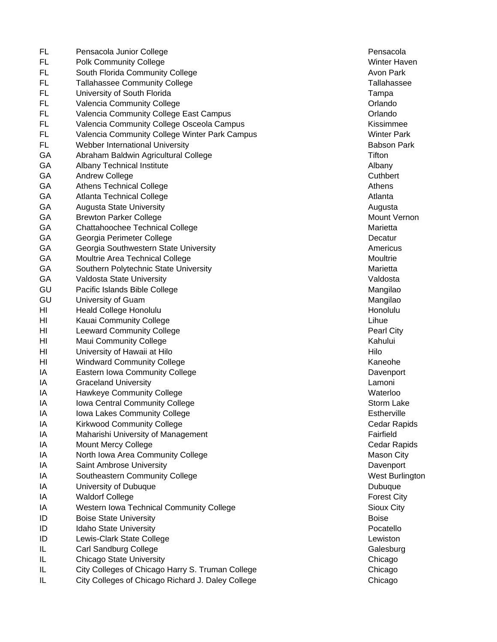FL Pensacola Junior College **Pensacola** Pensacola FL Polk Community College Winter Haven FL South Florida Community College Avon Park Avon Park FL Tallahassee Community College Tallahassee Tallahassee FL University of South Florida Tampa Tampa Tampa Tampa Tampa Tampa Tampa Tampa Tampa Tampa Tampa Tampa Tampa Tampa Tampa Tampa Tampa Tampa Tampa Tampa Tampa Tampa Tampa Tampa Tampa Tampa Tampa Tampa Tampa Tampa Tampa Tampa FL Valencia Community College **Containers** College **College College Orlando** FL Valencia Community College East Campus College Campus College College College College College College College College College College College College College College College College College College College College Colle FL Valencia Community College Osceola Campus Kissimmee FL Valencia Community College Winter Park Campus Winter Winter Park FL Webber International University Babson Park GA Abraham Baldwin Agricultural College Title Assessment College Titlen GA Albany Technical Institute Albany Albany Albany Albany GA Andrew College Cuthbert Cuthbert Cuthbert Cuthbert Cuthbert Cuthbert Cuthbert Cuthbert Cuthbert Cuthbert Cuthbert GA Athens Technical College Athens Athens Athens Athens Athens Athens Athens Athens Athens GA Atlanta Technical College Atlanta Atlanta Atlanta Atlanta Atlanta Atlanta Atlanta Atlanta Atlanta Atlanta GA Augusta State University **Augusta** State University **Augusta** Augusta Augusta GA Brewton Parker College Mount Vernon Nount Vernon GA Chattahoochee Technical College Marietta College Marietta GA Georgia Perimeter College Decatur College Context of the Decatur Decatur GA Georgia Southwestern State University **Americus** Americus GA Moultrie Area Technical College Moultrie Moultrie GA Southern Polytechnic State University **Marietta** Marietta GA Valdosta State University Valdosta Channel Channel Valdosta GU Pacific Islands Bible College Mangilao Number of American College Mangilao GU University of Guam Mangilao Number of Guam Mangilao Number of Studies and Mangilao Number of Studies and Mangilao HI Heald College Honolulu Honolulu HI Kauai Community College Library College Library College Library College Library College Library College Library College HI Leeward Community College **Pearl City Pearl City** HI Maui Community College Kahului Community College Kahului Kahului Kahului Kahului HI University of Hawaii at Hilo Hilo HI Windward Community College Kaneohe Kaneohe Kaneohe IA Eastern Iowa Community College **Davenport** Davenport IA Graceland University Lamoni IA Hawkeye Community College National Community College National Community College National Community College IA Iowa Central Community College Storm Lake Storm Lake IA Iowa Lakes Community College **Estherville** Estherville IA Kirkwood Community College Cedar Rapids Cedar Rapids IA Maharishi University of Management **Fairfield Fairfield** IA Mount Mercy College Contract Contract College Cedar Rapids Cedar Rapids IA North Iowa Area Community College Mason City Nason City IA Saint Ambrose University Davenport IA Southeastern Community College Network Controller Community College Network Controller Community College Network Controller Controller Controller Controller Controller Controller Controller Controller Controller Control IA University of Dubuque Dubuque Dubuque Dubuque Dubuque Dubuque Dubuque Dubuque Dubuque Dubuque Dubuque Dubuque **IA** Waldorf College **Forest City** IA Western Iowa Technical Community College Sioux City Sioux City **ID** Boise State University **Boise** Boise ID Idaho State University **Postello** Pocatello **ID Pocatello ID** Lewis-Clark State College Lewiston **Lewiston** IL Carl Sandburg College Galesburg Galesburg Carl Sandburg College Galesburg Galesburg Galesburg Galesburg Galesburg IL Chicago State University Chicago IL City Colleges of Chicago Harry S. Truman College Chicago Chicago IL City Colleges of Chicago Richard J. Daley College Chicago Chicago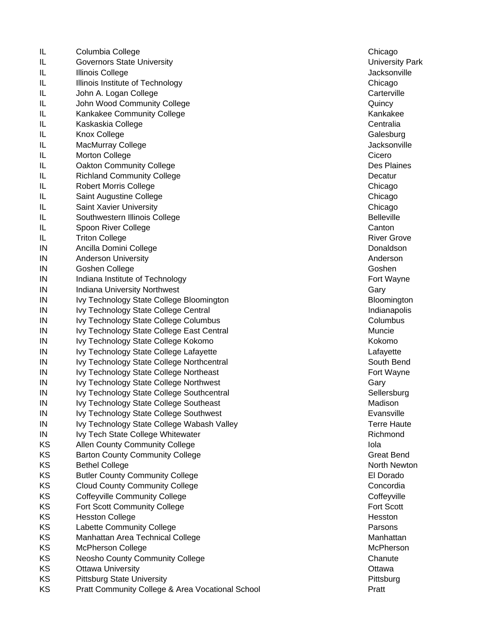IL Columbia College Chicago Chicago Chicago Chicago Chicago Chicago Chicago Chicago Chicago Chicago Chicago Chicago IL Governors State University University Park IL Illinois College Jacksonville Number of the United States of the United States of the United States of the U IL Illinois Institute of Technology Chicago Chicago IL John A. Logan College Carterville Carterville IL John Wood Community College **Community College** Cuincy IL Kankakee Community College Kankakee Kankakee IL Kaskaskia College Centralia College Centralia **IL** Knox College Galesburg Galesburg Galesburg Calesburg Galesburg Galesburg Galesburg Galesburg Galesburg Galesburg Galesburg Galesburg Galesburg Galesburg Galesburg Galesburg Galesburg Galesburg Galesburg Galesburg Gale IL MacMurray College **Accord Accord Accord Accord Accord Accord Accord Accord Accord Accord Accord Accord Accord Accord Accord Accord Accord Accord Accord Accord Accord Accord Accord Accord Accord Accord Accord Accord Acco** IL Morton College Cicero College Contract of the College Cicero College College College College College College IL Cakton Community College Des Plaines Control of the Des Plaines IL Richland Community College **Decatur** Decatur **IL Robert Morris College Chicago Chicago Chicago Chicago Chicago Chicago Chicago Chicago Chicago Chicago Chicago IL Saint Augustine College Chicago Chicago Chicago Chicago Chicago Chicago Chicago Chicago Chicago Chicago Chicago** IL Saint Xavier University Chicago IL Southwestern Illinois College Belleville Belleville IL Spoon River College Canton Canton Canton Canton Canton Canton Canton Canton Canton Canton Canton Canton Canton Canton Canton Canton Canton Canton Canton Canton Canton Canton Canton Canton Canton Canton Canton Canton Can **IL** Triton College River Grove River Grove River Grove River Grove River Grove River Grove River Grove River Grove IN Ancilla Domini College **Donaldson IN** Anderson University **Anderson University** Anderson Anderson Anderson IN Goshen College Goshen Goshen Goshen Goshen Goshen Goshen Goshen Goshen Goshen Goshen Goshen Goshen Goshen Goshen Goshen Goshen Goshen Goshen Goshen Goshen Goshen Goshen Goshen Goshen Goshen Goshen Goshen Goshen Goshen G IN Indiana Institute of Technology **Fort Wayne Fort Wayne** IN Indiana University Northwest Gary IN Ivy Technology State College Bloomington **Bloomington** Bloomington IN Ivy Technology State College Central **Indianapolis** Indianapolis IN Ivy Technology State College Columbus Columbus Columbus Columbus Columbus IN Ivy Technology State College East Central **IV** Contemporary Muncie IN Ivy Technology State College Kokomo **Kokomo Kokomo Kokomo** Kokomo Kokomo Kokomo Kokomo Kokomo Kokomo Kokomo Kokomo Kokomo Kokomo Kokomo Kokomo Kokomo Kokomo Kokomo Kokomo Kokomo Kokomo Kokomo Kokomo Kokomo Kokomo Kokomo IN Ivy Technology State College Lafayette **Lafayette** Lafayette IN Ivy Technology State College Northcentral South Bend South Bend IN Ivy Technology State College Northeast **Fort Wayne** Fort Wayne IN Ivy Technology State College Northwest Contains the Collection of the Gary IN Ivy Technology State College Southcentral Sellersburg Sellersburg IN Ivy Technology State College Southeast College Assessment College Assessment College Assessment College Assessment College Assessment College Assessment College Assessment College Assessment College Assessment College A IN Ivy Technology State College Southwest **Example 2008** Evansville IN Ivy Technology State College Wabash Valley Terre Haute Terre Haute IN Ivy Tech State College Whitewater **Richmond Richmond** KS Allen County Community College **Iola New York Contact Act Contact Act Contact Act Contact Act Contact Act Contact Act Contact Act Contact Act Oriental Act Oriental Act Oriental Act Oriental Act Oriental Act Oriental Act** KS Barton County Community College Great Bend Great Bend KS Bethel College North Newton North Newton Newton Newton Newton Newton Newton Newton Newton Newton Newton Newton Newton Newton Newton Newton Newton Newton Newton Newton Newton Newton Newton Newton Newton Newton Newton New KS Butler County Community College **Election Control Control** El Dorado KS Cloud County Community College Concordia Concordia KS Coffeyville Community College Contract Contract Coffeyville KS Fort Scott Community College Fort Scott Community College KS Hesston College **Hesston College Hesston** KS Labette Community College **Parsons** Parsons KS Manhattan Area Technical College Manhattan Manhattan Manhattan KS McPherson College Manual Collection College McPherson McPherson McPherson KS Neosho County Community College Chanute Chanute Chanute KS Ottawa University **Ottawa University** CH<sub>2</sub> Ottawa Ottawa Diversity Ottawa Diversity KS Pittsburg State University **Pittsburg State University Pittsburg** Pittsburg Pittsburg **Pittsburg** KS Pratt Community College & Area Vocational School **Pratt** Pratt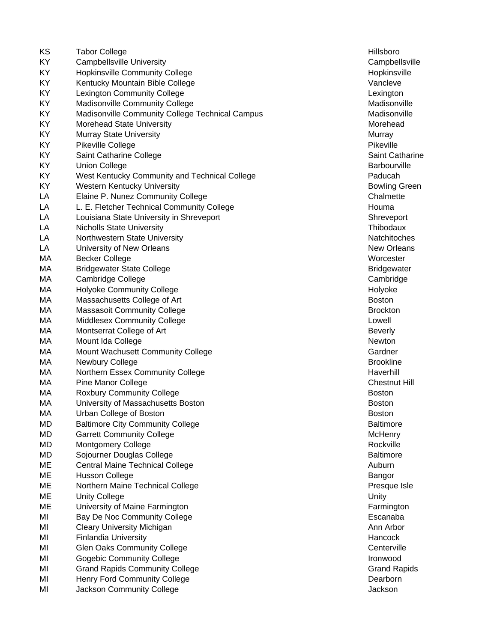| KS | <b>Tabor College</b>                            | Hillsboro         |
|----|-------------------------------------------------|-------------------|
| KY | <b>Campbellsville University</b>                | Campbellsy        |
| KY | <b>Hopkinsville Community College</b>           | Hopkinsville      |
| KY | Kentucky Mountain Bible College                 | Vancleve          |
| KY | Lexington Community College                     | Lexington         |
| KY | Madisonville Community College                  | Madisonvill       |
| KY | Madisonville Community College Technical Campus | Madisonvill       |
| KY | Morehead State University                       | Morehead          |
| KY | Murray State University                         | Murray            |
| KY | Pikeville College                               | Pikeville         |
| KY | Saint Catharine College                         | Saint Catha       |
| KY | <b>Union College</b>                            | Barbourville      |
| KY | West Kentucky Community and Technical College   | Paducah           |
| KY | <b>Western Kentucky University</b>              | <b>Bowling Gr</b> |
| LA | Elaine P. Nunez Community College               | Chalmette         |
| LA | L. E. Fletcher Technical Community College      | Houma             |
| LA | Louisiana State University in Shreveport        | Shreveport        |
| LA | <b>Nicholls State University</b>                | Thibodaux         |
| LA | Northwestern State University                   | Natchitoche       |
| LA | University of New Orleans                       | <b>New Orlear</b> |
| МA | <b>Becker College</b>                           | Worcester         |
| МA | <b>Bridgewater State College</b>                | <b>Bridgewate</b> |
| МA | Cambridge College                               | Cambridge         |
| МA | <b>Holyoke Community College</b>                | Holyoke           |
| МA | Massachusetts College of Art                    | <b>Boston</b>     |
| MA | <b>Massasoit Community College</b>              | <b>Brockton</b>   |
| МA | <b>Middlesex Community College</b>              | Lowell            |
| MA | Montserrat College of Art                       | <b>Beverly</b>    |
| МA | Mount Ida College                               | Newton            |
| МA | Mount Wachusett Community College               | Gardner           |
| МA | Newbury College                                 | <b>Brookline</b>  |
| MA | Northern Essex Community College                | Haverhill         |
| МA | Pine Manor College                              | <b>Chestnut H</b> |
| МA | <b>Roxbury Community College</b>                | <b>Boston</b>     |
| MA | University of Massachusetts Boston              | <b>Boston</b>     |
| MA | Urban College of Boston                         | Boston            |
| MD | <b>Baltimore City Community College</b>         | <b>Baltimore</b>  |
| MD | <b>Garrett Community College</b>                | <b>McHenry</b>    |
| MD | <b>Montgomery College</b>                       | Rockville         |
| MD | Sojourner Douglas College                       | <b>Baltimore</b>  |
| ME | <b>Central Maine Technical College</b>          | Auburn            |
| ME | <b>Husson College</b>                           | Bangor            |
| ME | Northern Maine Technical College                | Presque Isl       |
| ME | <b>Unity College</b>                            | Unity             |
| ME | University of Maine Farmington                  | Farmington        |
| MI | Bay De Noc Community College                    | Escanaba          |
| MI | <b>Cleary University Michigan</b>               | Ann Arbor         |
| MI | <b>Finlandia University</b>                     | Hancock           |
| MI | <b>Glen Oaks Community College</b>              | Centerville       |
| MI | <b>Gogebic Community College</b>                | Ironwood          |
| MI | <b>Grand Rapids Community College</b>           | <b>Grand Rap</b>  |
| MI | Henry Ford Community College                    | Dearborn          |
| MI | Jackson Community College                       | Jackson           |
|    |                                                 |                   |

Campbellsville Hopkinsville Lexington Madisonville us Community College Technical Community Community College Technical Campus Madisonville Saint Catharine Barbourville Bowling Green Chalmette Shreveport **Thibodaux** Natchitoches **New Orleans Bridgewater** Cambridge Chestnut Hill **Baltimore** Presque Isle Farmington **Grand Rapids**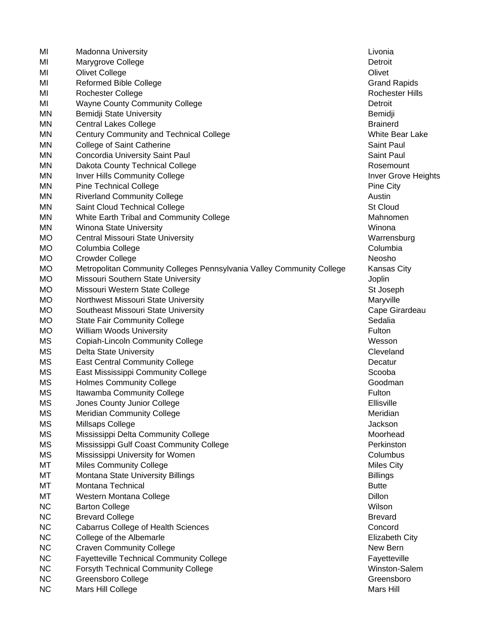| MI        | <b>Madonna University</b>                                              | Livonia                |
|-----------|------------------------------------------------------------------------|------------------------|
| MI        | Marygrove College                                                      | Detroit                |
| MI        | <b>Olivet College</b>                                                  | Olivet                 |
| MI        | Reformed Bible College                                                 | Grand Rapi             |
| MI        | Rochester College                                                      | Rochester              |
| MI        | <b>Wayne County Community College</b>                                  | Detroit                |
| MN        | Bemidji State University                                               | Bemidji                |
| <b>MN</b> | <b>Central Lakes College</b>                                           | <b>Brainerd</b>        |
| MN        | Century Community and Technical College                                | <b>White Bear</b>      |
| <b>MN</b> | College of Saint Catherine                                             | Saint Paul             |
| <b>MN</b> | Concordia University Saint Paul                                        | Saint Paul             |
| <b>MN</b> | Dakota County Technical College                                        | Rosemount              |
| MN        | <b>Inver Hills Community College</b>                                   | <b>Inver Grove</b>     |
| <b>MN</b> | <b>Pine Technical College</b>                                          | Pine City              |
| ΜN        | <b>Riverland Community College</b>                                     | Austin                 |
| ΜN        | Saint Cloud Technical College                                          | St Cloud               |
| MN        | White Earth Tribal and Community College                               | Mahnomen               |
| <b>MN</b> | Winona State University                                                | Winona                 |
| <b>MO</b> | Central Missouri State University                                      | Warrensbu              |
| <b>MO</b> | Columbia College                                                       | Columbia               |
| <b>MO</b> | <b>Crowder College</b>                                                 | Neosho                 |
| <b>MO</b> | Metropolitan Community Colleges Pennsylvania Valley Community College  | Kansas Cit             |
| МO        | Missouri Southern State University                                     | Joplin                 |
| <b>MO</b> | Missouri Western State College                                         | St Joseph              |
| <b>MO</b> | Northwest Missouri State University                                    | Maryville              |
| <b>MO</b> | Southeast Missouri State University                                    | Cape Girar             |
| <b>MO</b> | <b>State Fair Community College</b>                                    | Sedalia                |
| <b>MO</b> | <b>William Woods University</b>                                        | Fulton                 |
| MS        | <b>Copiah-Lincoln Community College</b>                                | Wesson                 |
| MS        | <b>Delta State University</b>                                          | Cleveland              |
| MS        | <b>East Central Community College</b>                                  | Decatur                |
| MS        | East Mississippi Community College                                     | Scooba                 |
| MS        | <b>Holmes Community College</b>                                        | Goodman                |
| MS        | Itawamba Community College                                             | Fulton                 |
| <b>MS</b> | Jones County Junior College                                            | Ellisville             |
| <b>MS</b> | <b>Meridian Community College</b>                                      | Meridian               |
| МS        | Millsaps College                                                       | Jackson                |
| <b>MS</b> | Mississippi Delta Community College                                    | Moorhead               |
| MS        | Mississippi Gulf Coast Community College                               | Perkinston             |
| <b>MS</b> | Mississippi University for Women                                       | Columbus               |
| MT        | <b>Miles Community College</b>                                         | <b>Miles City</b>      |
| МT        | Montana State University Billings                                      | <b>Billings</b>        |
| МT        | Montana Technical                                                      | <b>Butte</b>           |
| MT        | Western Montana College                                                | Dillon                 |
| <b>NC</b> | <b>Barton College</b>                                                  | Wilson                 |
| <b>NC</b> | <b>Brevard College</b>                                                 | <b>Brevard</b>         |
| <b>NC</b> |                                                                        |                        |
| <b>NC</b> | <b>Cabarrus College of Health Sciences</b><br>College of the Albemarle | Concord<br>Elizabeth C |
| <b>NC</b> |                                                                        |                        |
|           | <b>Craven Community College</b>                                        | New Bern               |
| <b>NC</b> | <b>Fayetteville Technical Community College</b>                        | Fayetteville           |
| <b>NC</b> | <b>Forsyth Technical Community College</b>                             | Winston-Sa             |
| <b>NC</b> | Greensboro College                                                     | Greensbord             |
| <b>NC</b> | Mars Hill College                                                      | Mars Hill              |

**Grand Rapids** Rochester Hills White Bear Lake Rosemount Inver Grove Heights Mahnomen Warrensburg Kansas City St Joseph Cape Girardeau Columbus Miles City Elizabeth City Fayetteville Winston-Salem Greensboro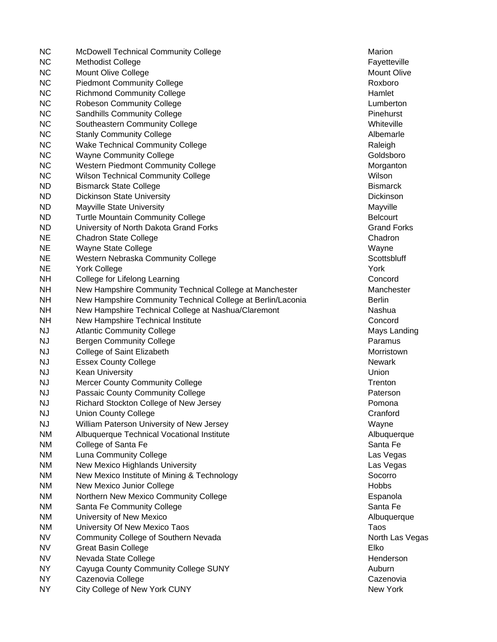NC McDowell Technical Community College Marion Marion Marion NC Methodist College **Fayetteville** Fayetteville NC Mount Olive College Mount Olive College Mount Olive Mount Olive Mount Olive Mount Olive NC Piedmont Community College Roxboro NC Richmond Community College **Hamlet** Hamlet Hamlet NC Robeson Community College **Lumberton** Lumberton NC Sandhills Community College **Pinehurst** Pinehurst Pinehurst NC Southeastern Community College Whiteville No. 2014 NC Stanly Community College **Albemarie** Albemarle NC Wake Technical Community College **Raleigh** Raleigh Raleigh NC Wayne Community College Goldsboro Goldsboro NC Western Piedmont Community College Morganton Morganton NC Wilson Technical Community College Wilson Nullson Wilson ND Bismarck State College Bismarck State College Bismarck Bismarck Bismarck Bismarck ND Dickinson State University **Diskiple State University** Dickinson ND Mayville State University Mayville State University Mayville ND Turtle Mountain Community College **Belcourt** Belcourt ND University of North Dakota Grand Forks Grand Forks Grand Forks Grand Forks NE Chadron State College Channels Chadron Chadron Chadron Chadron Chadron Chadron Chadron Chadron Chadron Chadron NE Wayne State College Wayne Wayne Wayne Wayne NE Western Nebraska Community College Network Scottsbluff Scottsbluff NE York College York NH College for Lifelong Learning Concord Concord NH New Hampshire Community Technical College at Manchester Manchester Manchester NH New Hampshire Community Technical College at Berlin/Laconia Berlin NH New Hampshire Technical College at Nashua/Claremont New Hashua NH New Hampshire Technical Institute Concord Concord NJ Atlantic Community College Mays Landing Mays Landing NJ Bergen Community College **Paramus** Paramus NJ College of Saint Elizabeth Morristown Morristown Morristown NJ Essex County College Newark and the United States of the Newark Newark NJ Kean University Union NJ Mercer County Community College Trenton NJ Mercer County Community College NJ Passaic County Community College **Paterson** Paterson NJ Richard Stockton College of New Jersey **Promona** NJ Union County College Crane Crane Crane Cranford NJ William Paterson University of New Jersey Wayne NM Albuquerque Technical Vocational Institute Albuquerque Albuquerque NM College of Santa Fe Santa Fe Santa Fe Santa Fe Santa Fe Santa Fe Santa Fe Santa Fe Santa Fe Santa Fe Santa Fe NM Luna Community College Las Vegas Las Vegas NM New Mexico Highlands University Las Vegas New York 2012 19:30 NM New York 2013 NM New Mexico Institute of Mining & Technology Socorro NM New Mexico Junior College New York 1997 and the United States of the Hobbs New York 1997 and Hobbs NM Northern New Mexico Community College **Expansile Expanola** NM Santa Fe Community College Santa Fe Santa Fe Santa Fe Santa Fe Santa Fe Santa Fe Santa Fe NM University of New Mexico **Albuquerque** Albuquerque NM University Of New Mexico Taos Taos NV Community College of Southern Nevada North Las Vegas North Las Vegas NV Great Basin College Elko NV Nevada State College News, 2008, 2009, 2009, 2009, 2009, 2009, 2009, 2009, 2009, 2009, 2009, 2009, 2009, 20 NY Cayuga County Community College SUNY Auburn Community College Auburn NY Cazenovia College Cazenovia College Cazenovia NY City College of New York CUNY New York New York New York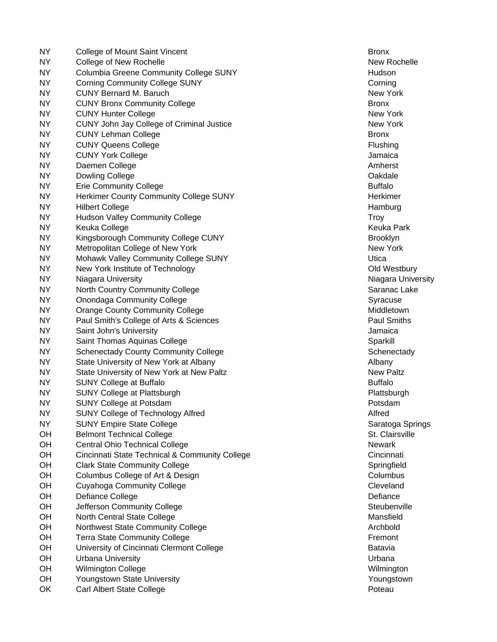| NY.       | College of Mount Saint Vincent                 | <b>Bronx</b>     |
|-----------|------------------------------------------------|------------------|
| <b>NY</b> | College of New Rochelle                        | New Roch         |
| NY.       | <b>Columbia Greene Community College SUNY</b>  | Hudson           |
| NY.       | <b>Corning Community College SUNY</b>          | Corning          |
| NY.       | <b>CUNY Bernard M. Baruch</b>                  | New York         |
| <b>NY</b> | <b>CUNY Bronx Community College</b>            | <b>Bronx</b>     |
| <b>NY</b> | <b>CUNY Hunter College</b>                     | New York         |
| <b>NY</b> | CUNY John Jay College of Criminal Justice      | New York         |
| <b>NY</b> | <b>CUNY Lehman College</b>                     | <b>Bronx</b>     |
| <b>NY</b> | <b>CUNY Queens College</b>                     | Flushing         |
| <b>NY</b> | <b>CUNY York College</b>                       | Jamaica          |
| <b>NY</b> | Daemen College                                 | Amherst          |
| NY        | Dowling College                                | Oakdale          |
| <b>NY</b> | <b>Erie Community College</b>                  | <b>Buffalo</b>   |
| <b>NY</b> | Herkimer County Community College SUNY         | Herkimer         |
| <b>NY</b> | <b>Hilbert College</b>                         | Hamburg          |
| NY        | <b>Hudson Valley Community College</b>         | Troy             |
| NY.       | Keuka College                                  | Keuka Par        |
| NY.       | Kingsborough Community College CUNY            | <b>Brooklyn</b>  |
| NY.       | Metropolitan College of New York               | New York         |
| NY.       | Mohawk Valley Community College SUNY           | Utica            |
| <b>NY</b> | New York Institute of Technology               | Old Westb        |
| <b>NY</b> | Niagara University                             | Niagara Ur       |
| <b>NY</b> | North Country Community College                | Saranac La       |
| NY        | <b>Onondaga Community College</b>              | Syracuse         |
| <b>NY</b> | <b>Orange County Community College</b>         | Middletowr       |
| <b>NY</b> | Paul Smith's College of Arts & Sciences        | Paul Smith       |
| NY        | Saint John's University                        | Jamaica          |
| NY.       | Saint Thomas Aquinas College                   | Sparkill         |
| <b>NY</b> | <b>Schenectady County Community College</b>    | Schenecta        |
| NY.       | State University of New York at Albany         | Albany           |
| NY.       | State University of New York at New Paltz      | <b>New Paltz</b> |
| <b>NY</b> | <b>SUNY College at Buffalo</b>                 | <b>Buffalo</b>   |
| NY.       |                                                |                  |
|           | SUNY College at Plattsburgh                    | Plattsburgh      |
| <b>NY</b> | <b>SUNY College at Potsdam</b>                 | Potsdam          |
| <b>NY</b> | SUNY College of Technology Alfred              | Alfred           |
| NY.       | <b>SUNY Empire State College</b>               | Saratoga S       |
| OH        | <b>Belmont Technical College</b>               | St. Clairsvi     |
| OH        | <b>Central Ohio Technical College</b>          | <b>Newark</b>    |
| OH        | Cincinnati State Technical & Community College | Cincinnati       |
| OH        | <b>Clark State Community College</b>           | Springfield      |
| OH        | Columbus College of Art & Design               | Columbus         |
| OH        | <b>Cuyahoga Community College</b>              | Cleveland        |
| OH        | Defiance College                               | Defiance         |
| OH        | Jefferson Community College                    | Steubenvil       |
| OH        | North Central State College                    | Mansfield        |
| OH        | Northwest State Community College              | Archbold         |
| OH        | <b>Terra State Community College</b>           | Fremont          |
| OH        | University of Cincinnati Clermont College      | Batavia          |
| OH        | <b>Urbana University</b>                       | Urbana           |
| OH        | <b>Wilmington College</b>                      | Wilmingtor       |
| OH        | Youngstown State University                    | Youngstow        |
| OK        | Carl Albert State College                      | Poteau           |

New Rochelle New York Keuka Park Old Westbury Niagara University Saranac Lake Middletown Paul Smiths Schenectady Plattsburgh Saratoga Springs St. Clairsville **OH Cincinnati State Technical Activity Concinnati** State Technical Activity Concinnati Springfield Steubenville Wilmington Youngstown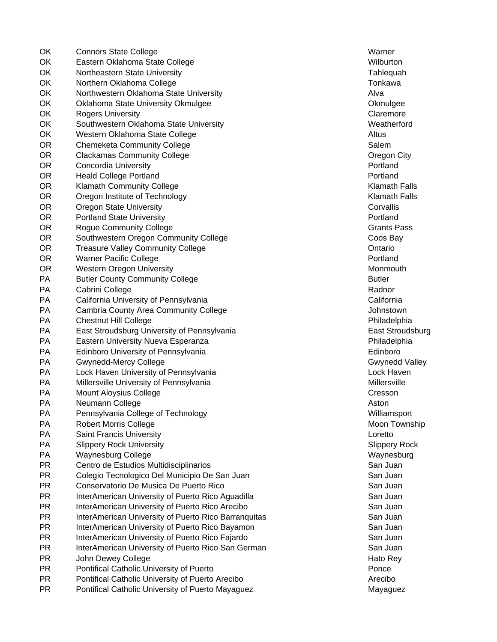OK Connors State College Warner Warner Warner Warner OK Eastern Oklahoma State College Wilburton Nullburton Nullburton Nullburton OK Northeastern State University Tahlequah Northeastern State University Tahlequah OK Northern Oklahoma College Tonkawa Tonkawa OK Northwestern Oklahoma State University Alva Alva OK Oklahoma State University Okmulgee **Oklahoma State University Okmulgee** Okmulgee OK Rogers University **Calculation** Claremore Claremore OK Southwestern Oklahoma State University Weatherford Weatherford OK Western Oklahoma State College Altus Altus Altus Altus OR Chemeketa Community College Salem Salem Salem Salem Salem Salem Salem Salem Salem Salem Salem Salem Salem Salem Salem Salem Salem Salem Salem Salem Salem Salem Salem Salem Salem Salem Salem Salem Salem Salem Salem Salem OR Clackamas Community College Community College Community College Community College Community College Community College **OR** Concordia University **Portland Concordia University Portland Portland Portland** OR Heald College Portland **Properties and Portland Portland** Portland Portland Portland OR Klamath Community College Klamath Falls OR Oregon Institute of Technology **South Accord Containers** Channel Manual Media Relisting Channel Media Relisting OR Oregon State University Corvallis Corvallis Corvallis Corvallis OR Portland State University **Provides and State University** Portland Provides and Provident Provident Provident OR Roque Community College Grants Pass and College Grants Pass of the Grants Pass of the Grants Pass of the Grants Pass of the Grants Pass of the Grants Pass of the Grants Pass of the Grants Pass of the Grants Pass of the OR Southwestern Oregon Community College Contract Coos Bay OR Treasure Valley Community College Community College Contario OR Warner Pacific College **Portland Provided Portland Portland** OR Western Oregon University Month and The Control of Month Month Month Month Month Month Month Month Month Month Month Month Month Month Month Month Month Month Month Month Month Month Month Month Month Month Month Month PA Butler County Community College **Butler** Butler PA Cabrini College Radnor New York 1999 and the Cabrini College Radnor New York 1999 and the Radnor PA California University of Pennsylvania California California PA Cambria County Area Community College Community College Community College Community College Community College PA Chestnut Hill College **Philadelphia** Philadelphia PA East Stroudsburg University of Pennsylvania East Stroudsburg East Stroudsburg PA Eastern University Nueva Esperanza **Philadelphia** Philadelphia PA Edinboro University of Pennsylvania **Edinboro** Edinboro PA Gwynedd-Mercy College Gwynedd Valley Gwynedd Valley PA Lock Haven University of Pennsylvania Lock Haven Lock Haven PA Millersville University of Pennsylvania Millersville Millersville PA Mount Aloysius College Contract Contract Cresson Cresson PA Neumann College **Aston** PA Pennsylvania College of Technology **Williams** Williamsport PA Robert Morris College Moon Township Noon Township PA Saint Francis University Loretto PA Slippery Rock University Superversity Slippery Rock Slippery Rock Superversity PA Waynesburg College Waynesburg College Waynesburg National Structure Maynesburg Waynesburg PR Centro de Estudios Multidisciplinarios Channel Controller and San Juan PR Colegio Tecnologico Del Municipio De San Juan Colegio San Juan San Juan San Juan PR Conservatorio De Musica De Puerto Rico **San Juan** San Juan PR InterAmerican University of Puerto Rico Aguadilla San Juan San Juan PR InterAmerican University of Puerto Rico Arecibo **San Juan** San Juan PR InterAmerican University of Puerto Rico Barranquitas San Juan San Juan PR InterAmerican University of Puerto Rico Bayamon San Juan San Juan PR InterAmerican University of Puerto Rico Fajardo **San Juan** San Juan PR InterAmerican University of Puerto Rico San German San San Juan San Juan PR John Dewey College Hato Rey And The Second Library and The Hato Rey Hato Rey PR Pontifical Catholic University of Puerto Ponce Ponce Ponce PR Pontifical Catholic University of Puerto Arecibo Arecibo PR Pontifical Catholic University of Puerto Mayaguez **Mayaguez** Mayaguez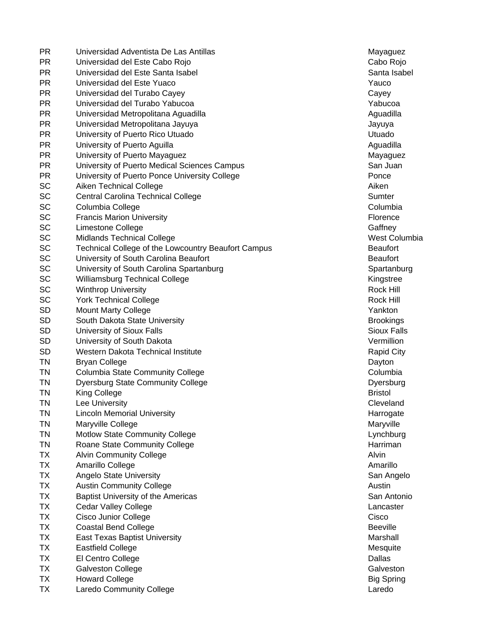| PR.       | Universidad Adventista De Las Antillas              | Mayaguez           |
|-----------|-----------------------------------------------------|--------------------|
| <b>PR</b> | Universidad del Este Cabo Rojo                      | Cabo Rojo          |
| <b>PR</b> | Universidad del Este Santa Isabel                   | Santa Isab         |
| <b>PR</b> | Universidad del Este Yuaco                          | Yauco              |
| <b>PR</b> | Universidad del Turabo Cayey                        | Cayey              |
| <b>PR</b> | Universidad del Turabo Yabucoa                      | Yabucoa            |
| <b>PR</b> | Universidad Metropolitana Aguadilla                 | Aguadilla          |
| <b>PR</b> | Universidad Metropolitana Jayuya                    | Jayuya             |
| <b>PR</b> | University of Puerto Rico Utuado                    | Utuado             |
| <b>PR</b> | University of Puerto Aguilla                        | Aguadilla          |
| <b>PR</b> | University of Puerto Mayaguez                       | Mayaguez           |
| <b>PR</b> | University of Puerto Medical Sciences Campus        | San Juan           |
| <b>PR</b> | University of Puerto Ponce University College       | Ponce              |
| SC        | Aiken Technical College                             | Aiken              |
| SC        | Central Carolina Technical College                  | Sumter             |
| SC        | Columbia College                                    | Columbia           |
| SC        | <b>Francis Marion University</b>                    | Florence           |
| SC        | Limestone College                                   | Gaffney            |
| SC        | <b>Midlands Technical College</b>                   | West Colu          |
| SC        | Technical College of the Lowcountry Beaufort Campus | <b>Beaufort</b>    |
| SC        | University of South Carolina Beaufort               | <b>Beaufort</b>    |
| SC        | University of South Carolina Spartanburg            | Spartanbu          |
| SC        | Williamsburg Technical College                      | Kingstree          |
| SC        | <b>Winthrop University</b>                          | Rock Hill          |
| SC        | <b>York Technical College</b>                       | Rock Hill          |
| <b>SD</b> | <b>Mount Marty College</b>                          | Yankton            |
| <b>SD</b> | South Dakota State University                       | <b>Brookings</b>   |
| <b>SD</b> | University of Sioux Falls                           | <b>Sioux Falls</b> |
| <b>SD</b> | University of South Dakota                          | Vermillion         |
| <b>SD</b> | Western Dakota Technical Institute                  | <b>Rapid City</b>  |
| <b>TN</b> | <b>Bryan College</b>                                | Dayton             |
| <b>TN</b> | <b>Columbia State Community College</b>             | Columbia           |
| <b>TN</b> | <b>Dyersburg State Community College</b>            | Dyersburg          |
| <b>TN</b> | King College                                        | <b>Bristol</b>     |
| <b>TN</b> | Lee University                                      | Cleveland          |
| <b>TN</b> | <b>Lincoln Memorial University</b>                  | Harrogate          |
| <b>TN</b> | Maryville College                                   | Maryville          |
| <b>TN</b> | Motlow State Community College                      | Lynchburg          |
| <b>TN</b> | Roane State Community College                       | Harriman           |
| <b>TX</b> | <b>Alvin Community College</b>                      | Alvin              |
| <b>TX</b> | Amarillo College                                    | Amarillo           |
| <b>TX</b> | <b>Angelo State University</b>                      | San Angel          |
| <b>TX</b> | <b>Austin Community College</b>                     | Austin             |
| <b>TX</b> | Baptist University of the Americas                  | San Anton          |
| <b>TX</b> | <b>Cedar Valley College</b>                         | Lancaster          |
| <b>TX</b> | Cisco Junior College                                | Cisco              |
| <b>TX</b> | <b>Coastal Bend College</b>                         | <b>Beeville</b>    |
| <b>TX</b> | <b>East Texas Baptist University</b>                | Marshall           |
| <b>TX</b> | <b>Eastfield College</b>                            | Mesquite           |
| <b>TX</b> | El Centro College                                   | Dallas             |
| <b>TX</b> | <b>Galveston College</b>                            | Galveston          |
| <b>TX</b> | <b>Howard College</b>                               | <b>Big Spring</b>  |
| <b>TX</b> | <b>Laredo Community College</b>                     | Laredo             |
|           |                                                     |                    |

**Mayaguez** Cabo Rojo Santa Isabel **Mayaguez** West Columbia Spartanburg Kingstree **Brookings** Sioux Falls Rapid City Dyersburg Cleveland Harrogate Lynchburg San Angelo San Antonio Mesquite Big Spring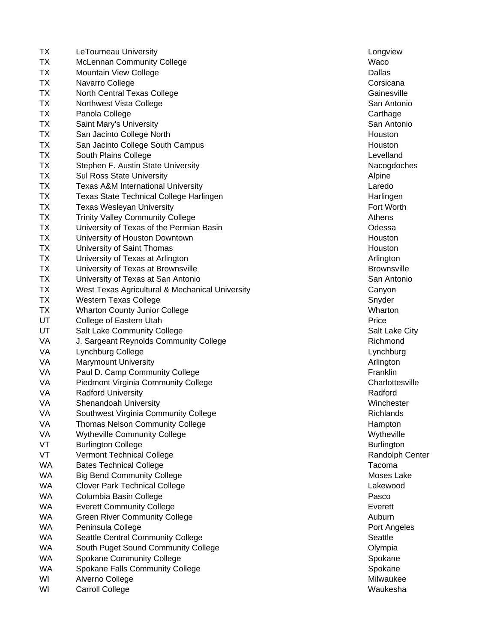| TX        | LeTourneau University                           | Longview           |
|-----------|-------------------------------------------------|--------------------|
| <b>TX</b> | <b>McLennan Community College</b>               | Waco               |
| TX        | Mountain View College                           | Dallas             |
| <b>TX</b> | Navarro College                                 | Corsicana          |
| <b>TX</b> | North Central Texas College                     | Gainesville        |
| <b>TX</b> | Northwest Vista College                         | San Antoni         |
| <b>TX</b> | Panola College                                  | Carthage           |
| <b>TX</b> | Saint Mary's University                         | San Antoni         |
| <b>TX</b> | San Jacinto College North                       | Houston            |
| <b>TX</b> | San Jacinto College South Campus                | Houston            |
| <b>TX</b> | South Plains College                            | Levelland          |
| <b>TX</b> | Stephen F. Austin State University              | Nacogdoch          |
| <b>TX</b> | <b>Sul Ross State University</b>                | Alpine             |
| <b>TX</b> | <b>Texas A&amp;M International University</b>   | Laredo             |
| TX        | <b>Texas State Technical College Harlingen</b>  | Harlingen          |
| <b>TX</b> | <b>Texas Wesleyan University</b>                | Fort Worth         |
| <b>TX</b> | <b>Trinity Valley Community College</b>         | Athens             |
| <b>TX</b> | University of Texas of the Permian Basin        | Odessa             |
| <b>TX</b> | University of Houston Downtown                  | Houston            |
| <b>TX</b> | University of Saint Thomas                      | Houston            |
| <b>TX</b> | University of Texas at Arlington                | Arlington          |
| <b>TX</b> | University of Texas at Brownsville              | <b>Brownsville</b> |
| <b>TX</b> | University of Texas at San Antonio              | San Antoni         |
| <b>TX</b> | West Texas Agricultural & Mechanical University | Canyon             |
| TX        | <b>Western Texas College</b>                    | Snyder             |
| TX        | <b>Wharton County Junior College</b>            | Wharton            |
| UT        | College of Eastern Utah                         | Price              |
| UT        | Salt Lake Community College                     | Salt Lake C        |
| VA        | J. Sargeant Reynolds Community College          | Richmond           |
| VA        | Lynchburg College                               | Lynchburg          |
| VA        | <b>Marymount University</b>                     | Arlington          |
| VA        | Paul D. Camp Community College                  | Franklin           |
| VA        | <b>Piedmont Virginia Community College</b>      | Charlottesv        |
| VA        | <b>Radford University</b>                       | Radford            |
| VA        | <b>Shenandoah University</b>                    | Winchester         |
| VA        | Southwest Virginia Community College            | Richlands          |
| VA        | <b>Thomas Nelson Community College</b>          | Hampton            |
| VA        | <b>Wytheville Community College</b>             | Wytheville         |
| VT        | <b>Burlington College</b>                       | <b>Burlington</b>  |
| VT        | <b>Vermont Technical College</b>                | Randolph C         |
| <b>WA</b> | <b>Bates Technical College</b>                  | Tacoma             |
| <b>WA</b> | <b>Big Bend Community College</b>               | Moses Lak          |
| <b>WA</b> | <b>Clover Park Technical College</b>            | Lakewood           |
| <b>WA</b> | Columbia Basin College                          | Pasco              |
| WA        | <b>Everett Community College</b>                | Everett            |
| <b>WA</b> | <b>Green River Community College</b>            | Auburn             |
| WA        | Peninsula College                               | Port Angele        |
| <b>WA</b> | Seattle Central Community College               | Seattle            |
| WA        | South Puget Sound Community College             | Olympia            |
| <b>WA</b> |                                                 |                    |
| WA        | <b>Spokane Community College</b>                | Spokane            |
|           | Spokane Falls Community College                 | Spokane            |
| WI        | Alverno College                                 | Milwaukee          |
| WI        | <b>Carroll College</b>                          | Waukesha           |

Longview Gainesville San Antonio San Antonio Levelland Nacogdoches Harlingen Fort Worth Brownsville San Antonio Salt Lake City Lynchburg Charlottesville Winchester Wytheville Burlington Randolph Center Moses Lake Port Angeles **Milwaukee**